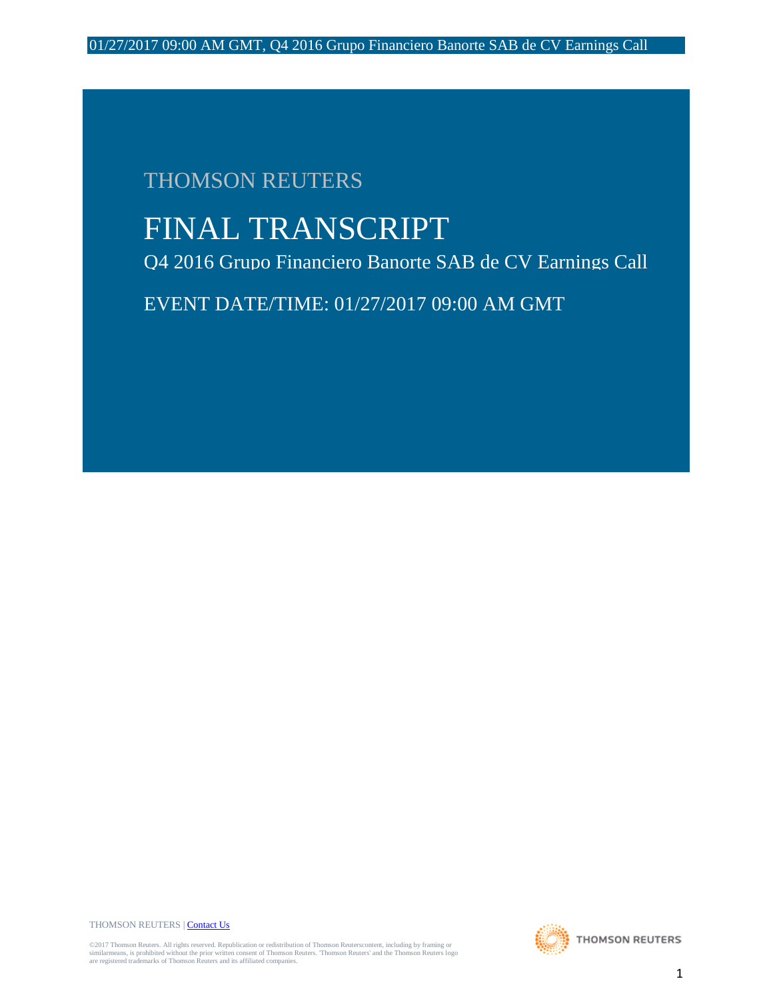# THOMSON REUTERS

# FINAL TRANSCRIPT

Q4 2016 Grupo Financiero Banorte SAB de CV Earnings Call

EVENT DATE/TIME: 01/27/2017 09:00 AM GMT

THOMSON REUTERS [| Contact Us](http://financial.thomsonreuters.com/en/contact-us.html)

©2017 Thomson Reuters. All rights reserved. Republication or redistribution of Thomson Reuterscontent, including by framing or<br>similarmeans, is prohibited without the prior written consent of Thomson Reuters. Thomson Reute

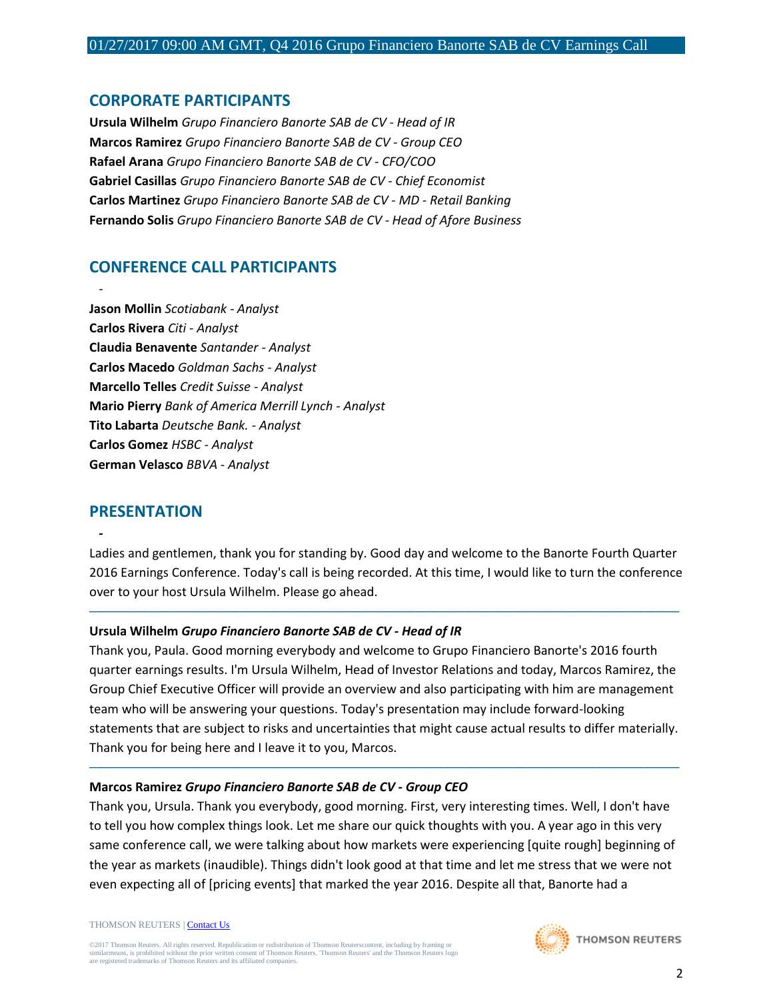# **CORPORATE PARTICIPANTS**

**Ursula Wilhelm** *Grupo Financiero Banorte SAB de CV - Head of IR* **Marcos Ramirez** *Grupo Financiero Banorte SAB de CV - Group CEO* **Rafael Arana** *Grupo Financiero Banorte SAB de CV - CFO/COO* **Gabriel Casillas** *Grupo Financiero Banorte SAB de CV - Chief Economist* **Carlos Martinez** *Grupo Financiero Banorte SAB de CV - MD - Retail Banking* **Fernando Solis** *Grupo Financiero Banorte SAB de CV - Head of Afore Business*

# **CONFERENCE CALL PARTICIPANTS**

*-* **Jason Mollin** *Scotiabank - Analyst* **Carlos Rivera** *Citi - Analyst* **Claudia Benavente** *Santander - Analyst* **Carlos Macedo** *Goldman Sachs - Analyst* **Marcello Telles** *Credit Suisse - Analyst* **Mario Pierry** *Bank of America Merrill Lynch - Analyst* **Tito Labarta** *Deutsche Bank. - Analyst* **Carlos Gomez** *HSBC - Analyst* **German Velasco** *BBVA - Analyst*

# **PRESENTATION**

*-*

Ladies and gentlemen, thank you for standing by. Good day and welcome to the Banorte Fourth Quarter 2016 Earnings Conference. Today's call is being recorded. At this time, I would like to turn the conference over to your host Ursula Wilhelm. Please go ahead.

─────────────────────────────────────────────────────────────────────────────────────

## **Ursula Wilhelm** *Grupo Financiero Banorte SAB de CV - Head of IR*

Thank you, Paula. Good morning everybody and welcome to Grupo Financiero Banorte's 2016 fourth quarter earnings results. I'm Ursula Wilhelm, Head of Investor Relations and today, Marcos Ramirez, the Group Chief Executive Officer will provide an overview and also participating with him are management team who will be answering your questions. Today's presentation may include forward-looking statements that are subject to risks and uncertainties that might cause actual results to differ materially. Thank you for being here and I leave it to you, Marcos.

─────────────────────────────────────────────────────────────────────────────────────

## **Marcos Ramirez** *Grupo Financiero Banorte SAB de CV - Group CEO*

Thank you, Ursula. Thank you everybody, good morning. First, very interesting times. Well, I don't have to tell you how complex things look. Let me share our quick thoughts with you. A year ago in this very same conference call, we were talking about how markets were experiencing [quite rough] beginning of the year as markets (inaudible). Things didn't look good at that time and let me stress that we were not even expecting all of [pricing events] that marked the year 2016. Despite all that, Banorte had a

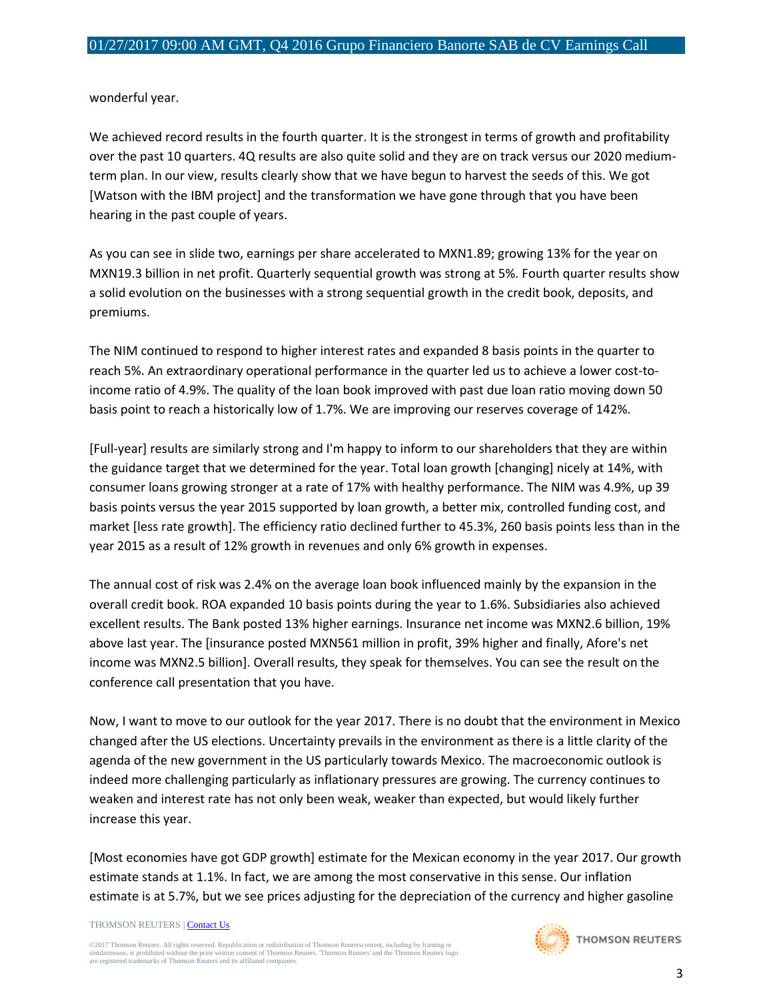wonderful year.

We achieved record results in the fourth quarter. It is the strongest in terms of growth and profitability over the past 10 quarters. 4Q results are also quite solid and they are on track versus our 2020 mediumterm plan. In our view, results clearly show that we have begun to harvest the seeds of this. We got [Watson with the IBM project] and the transformation we have gone through that you have been hearing in the past couple of years.

As you can see in slide two, earnings per share accelerated to MXN1.89; growing 13% for the year on MXN19.3 billion in net profit. Quarterly sequential growth was strong at 5%. Fourth quarter results show a solid evolution on the businesses with a strong sequential growth in the credit book, deposits, and premiums.

The NIM continued to respond to higher interest rates and expanded 8 basis points in the quarter to reach 5%. An extraordinary operational performance in the quarter led us to achieve a lower cost-toincome ratio of 4.9%. The quality of the loan book improved with past due loan ratio moving down 50 basis point to reach a historically low of 1.7%. We are improving our reserves coverage of 142%.

[Full-year] results are similarly strong and I'm happy to inform to our shareholders that they are within the guidance target that we determined for the year. Total loan growth [changing] nicely at 14%, with consumer loans growing stronger at a rate of 17% with healthy performance. The NIM was 4.9%, up 39 basis points versus the year 2015 supported by loan growth, a better mix, controlled funding cost, and market [less rate growth]. The efficiency ratio declined further to 45.3%, 260 basis points less than in the year 2015 as a result of 12% growth in revenues and only 6% growth in expenses.

The annual cost of risk was 2.4% on the average loan book influenced mainly by the expansion in the overall credit book. ROA expanded 10 basis points during the year to 1.6%. Subsidiaries also achieved excellent results. The Bank posted 13% higher earnings. Insurance net income was MXN2.6 billion, 19% above last year. The [insurance posted MXN561 million in profit, 39% higher and finally, Afore's net income was MXN2.5 billion]. Overall results, they speak for themselves. You can see the result on the conference call presentation that you have.

Now, I want to move to our outlook for the year 2017. There is no doubt that the environment in Mexico changed after the US elections. Uncertainty prevails in the environment as there is a little clarity of the agenda of the new government in the US particularly towards Mexico. The macroeconomic outlook is indeed more challenging particularly as inflationary pressures are growing. The currency continues to weaken and interest rate has not only been weak, weaker than expected, but would likely further increase this year.

[Most economies have got GDP growth] estimate for the Mexican economy in the year 2017. Our growth estimate stands at 1.1%. In fact, we are among the most conservative in this sense. Our inflation estimate is at 5.7%, but we see prices adjusting for the depreciation of the currency and higher gasoline

#### THOMSON REUTERS [| Contact Us](http://financial.thomsonreuters.com/en/contact-us.html)

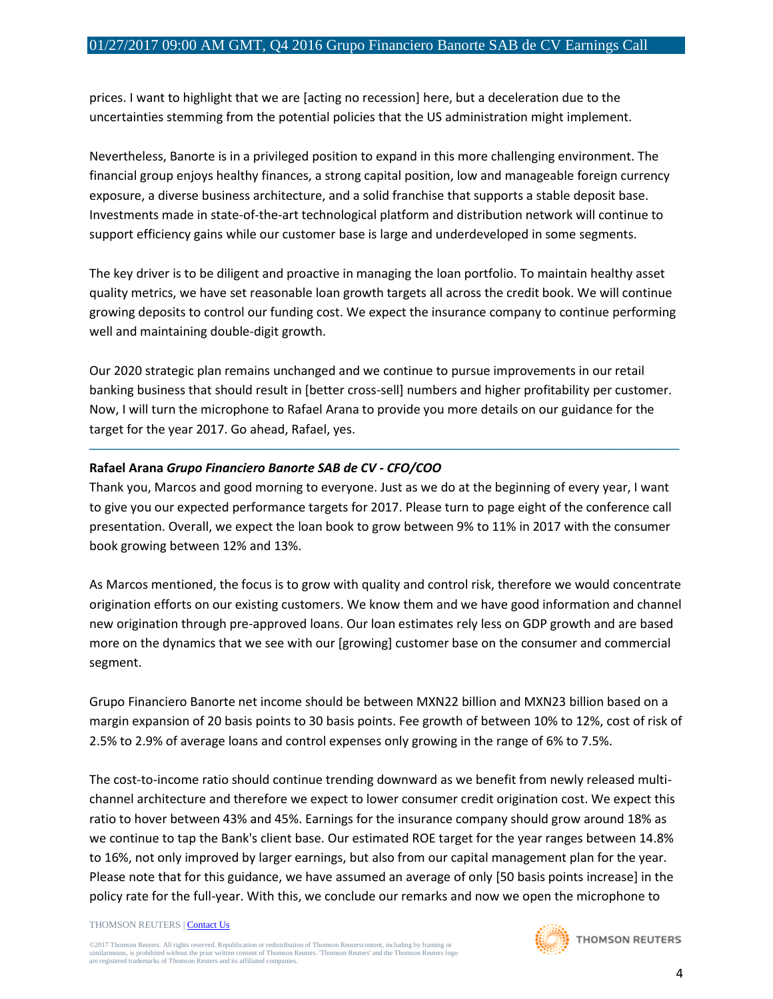prices. I want to highlight that we are [acting no recession] here, but a deceleration due to the uncertainties stemming from the potential policies that the US administration might implement.

Nevertheless, Banorte is in a privileged position to expand in this more challenging environment. The financial group enjoys healthy finances, a strong capital position, low and manageable foreign currency exposure, a diverse business architecture, and a solid franchise that supports a stable deposit base. Investments made in state-of-the-art technological platform and distribution network will continue to support efficiency gains while our customer base is large and underdeveloped in some segments.

The key driver is to be diligent and proactive in managing the loan portfolio. To maintain healthy asset quality metrics, we have set reasonable loan growth targets all across the credit book. We will continue growing deposits to control our funding cost. We expect the insurance company to continue performing well and maintaining double-digit growth.

Our 2020 strategic plan remains unchanged and we continue to pursue improvements in our retail banking business that should result in [better cross-sell] numbers and higher profitability per customer. Now, I will turn the microphone to Rafael Arana to provide you more details on our guidance for the target for the year 2017. Go ahead, Rafael, yes.

─────────────────────────────────────────────────────────────────────────────────────

#### **Rafael Arana** *Grupo Financiero Banorte SAB de CV - CFO/COO*

Thank you, Marcos and good morning to everyone. Just as we do at the beginning of every year, I want to give you our expected performance targets for 2017. Please turn to page eight of the conference call presentation. Overall, we expect the loan book to grow between 9% to 11% in 2017 with the consumer book growing between 12% and 13%.

As Marcos mentioned, the focus is to grow with quality and control risk, therefore we would concentrate origination efforts on our existing customers. We know them and we have good information and channel new origination through pre-approved loans. Our loan estimates rely less on GDP growth and are based more on the dynamics that we see with our [growing] customer base on the consumer and commercial segment.

Grupo Financiero Banorte net income should be between MXN22 billion and MXN23 billion based on a margin expansion of 20 basis points to 30 basis points. Fee growth of between 10% to 12%, cost of risk of 2.5% to 2.9% of average loans and control expenses only growing in the range of 6% to 7.5%.

The cost-to-income ratio should continue trending downward as we benefit from newly released multichannel architecture and therefore we expect to lower consumer credit origination cost. We expect this ratio to hover between 43% and 45%. Earnings for the insurance company should grow around 18% as we continue to tap the Bank's client base. Our estimated ROE target for the year ranges between 14.8% to 16%, not only improved by larger earnings, but also from our capital management plan for the year. Please note that for this guidance, we have assumed an average of only [50 basis points increase] in the policy rate for the full-year. With this, we conclude our remarks and now we open the microphone to

#### THOMSON REUTERS [| Contact Us](http://financial.thomsonreuters.com/en/contact-us.html)

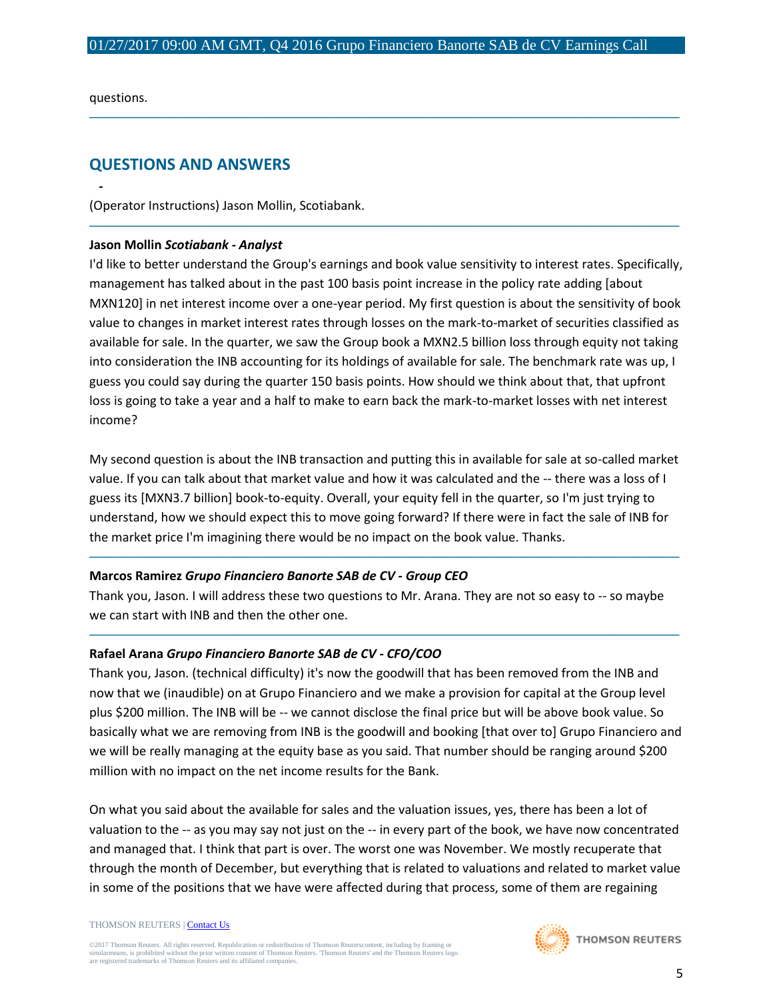─────────────────────────────────────────────────────────────────────────────────────

─────────────────────────────────────────────────────────────────────────────────────

questions.

*-*

# **QUESTIONS AND ANSWERS**

(Operator Instructions) Jason Mollin, Scotiabank.

#### **Jason Mollin** *Scotiabank - Analyst*

I'd like to better understand the Group's earnings and book value sensitivity to interest rates. Specifically, management has talked about in the past 100 basis point increase in the policy rate adding [about MXN120] in net interest income over a one-year period. My first question is about the sensitivity of book value to changes in market interest rates through losses on the mark-to-market of securities classified as available for sale. In the quarter, we saw the Group book a MXN2.5 billion loss through equity not taking into consideration the INB accounting for its holdings of available for sale. The benchmark rate was up, I guess you could say during the quarter 150 basis points. How should we think about that, that upfront loss is going to take a year and a half to make to earn back the mark-to-market losses with net interest income?

My second question is about the INB transaction and putting this in available for sale at so-called market value. If you can talk about that market value and how it was calculated and the -- there was a loss of I guess its [MXN3.7 billion] book-to-equity. Overall, your equity fell in the quarter, so I'm just trying to understand, how we should expect this to move going forward? If there were in fact the sale of INB for the market price I'm imagining there would be no impact on the book value. Thanks.

─────────────────────────────────────────────────────────────────────────────────────

#### **Marcos Ramirez** *Grupo Financiero Banorte SAB de CV - Group CEO*

Thank you, Jason. I will address these two questions to Mr. Arana. They are not so easy to -- so maybe we can start with INB and then the other one.

─────────────────────────────────────────────────────────────────────────────────────

#### **Rafael Arana** *Grupo Financiero Banorte SAB de CV - CFO/COO*

Thank you, Jason. (technical difficulty) it's now the goodwill that has been removed from the INB and now that we (inaudible) on at Grupo Financiero and we make a provision for capital at the Group level plus \$200 million. The INB will be -- we cannot disclose the final price but will be above book value. So basically what we are removing from INB is the goodwill and booking [that over to] Grupo Financiero and we will be really managing at the equity base as you said. That number should be ranging around \$200 million with no impact on the net income results for the Bank.

On what you said about the available for sales and the valuation issues, yes, there has been a lot of valuation to the -- as you may say not just on the -- in every part of the book, we have now concentrated and managed that. I think that part is over. The worst one was November. We mostly recuperate that through the month of December, but everything that is related to valuations and related to market value in some of the positions that we have were affected during that process, some of them are regaining

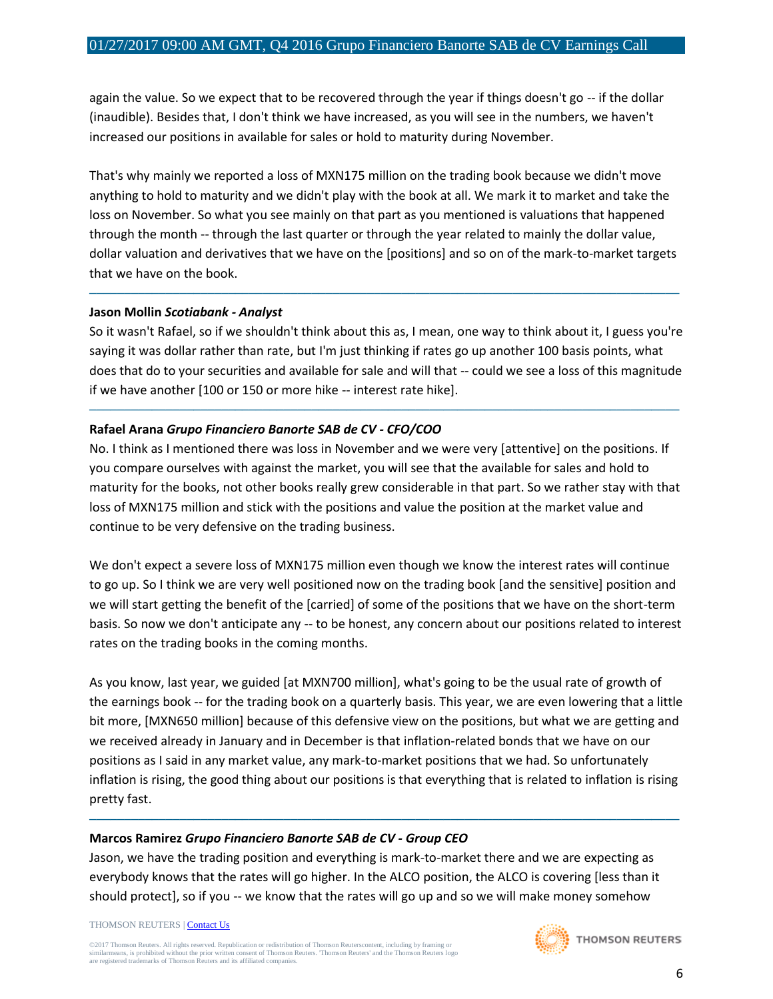again the value. So we expect that to be recovered through the year if things doesn't go -- if the dollar (inaudible). Besides that, I don't think we have increased, as you will see in the numbers, we haven't increased our positions in available for sales or hold to maturity during November.

That's why mainly we reported a loss of MXN175 million on the trading book because we didn't move anything to hold to maturity and we didn't play with the book at all. We mark it to market and take the loss on November. So what you see mainly on that part as you mentioned is valuations that happened through the month -- through the last quarter or through the year related to mainly the dollar value, dollar valuation and derivatives that we have on the [positions] and so on of the mark-to-market targets that we have on the book.

─────────────────────────────────────────────────────────────────────────────────────

#### **Jason Mollin** *Scotiabank - Analyst*

So it wasn't Rafael, so if we shouldn't think about this as, I mean, one way to think about it, I guess you're saying it was dollar rather than rate, but I'm just thinking if rates go up another 100 basis points, what does that do to your securities and available for sale and will that -- could we see a loss of this magnitude if we have another [100 or 150 or more hike -- interest rate hike].

─────────────────────────────────────────────────────────────────────────────────────

#### **Rafael Arana** *Grupo Financiero Banorte SAB de CV - CFO/COO*

No. I think as I mentioned there was loss in November and we were very [attentive] on the positions. If you compare ourselves with against the market, you will see that the available for sales and hold to maturity for the books, not other books really grew considerable in that part. So we rather stay with that loss of MXN175 million and stick with the positions and value the position at the market value and continue to be very defensive on the trading business.

We don't expect a severe loss of MXN175 million even though we know the interest rates will continue to go up. So I think we are very well positioned now on the trading book [and the sensitive] position and we will start getting the benefit of the [carried] of some of the positions that we have on the short-term basis. So now we don't anticipate any -- to be honest, any concern about our positions related to interest rates on the trading books in the coming months.

As you know, last year, we guided [at MXN700 million], what's going to be the usual rate of growth of the earnings book -- for the trading book on a quarterly basis. This year, we are even lowering that a little bit more, [MXN650 million] because of this defensive view on the positions, but what we are getting and we received already in January and in December is that inflation-related bonds that we have on our positions as I said in any market value, any mark-to-market positions that we had. So unfortunately inflation is rising, the good thing about our positions is that everything that is related to inflation is rising pretty fast.

─────────────────────────────────────────────────────────────────────────────────────

#### **Marcos Ramirez** *Grupo Financiero Banorte SAB de CV - Group CEO*

Jason, we have the trading position and everything is mark-to-market there and we are expecting as everybody knows that the rates will go higher. In the ALCO position, the ALCO is covering [less than it should protect], so if you -- we know that the rates will go up and so we will make money somehow

THOMSON REUTERS [| Contact Us](http://financial.thomsonreuters.com/en/contact-us.html)

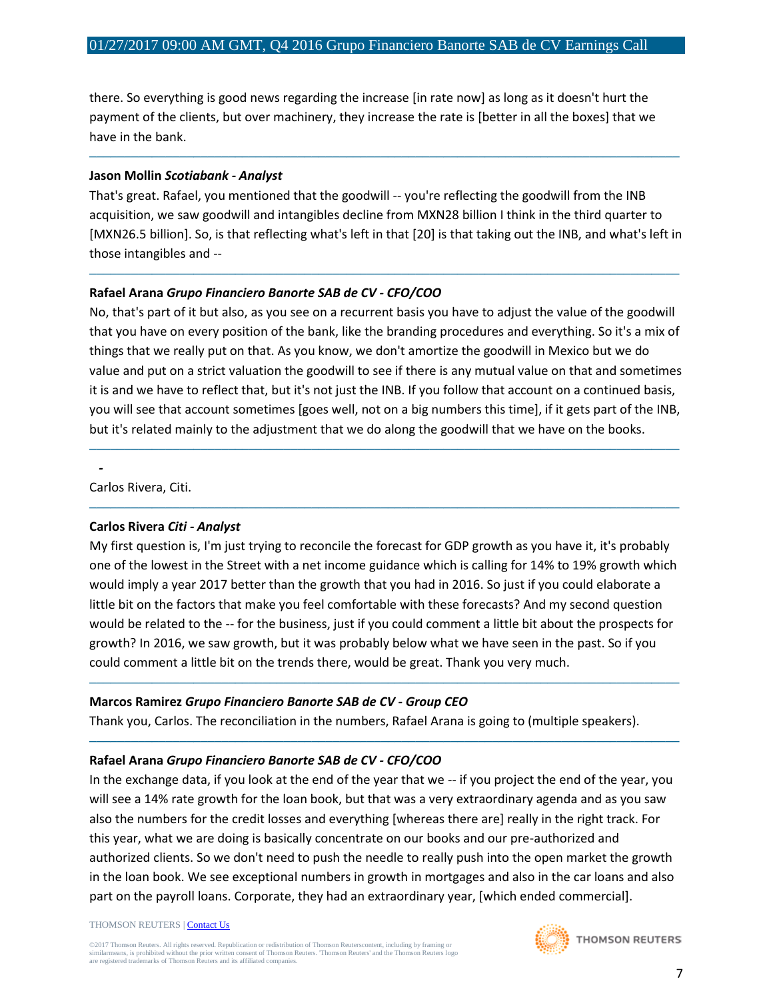there. So everything is good news regarding the increase [in rate now] as long as it doesn't hurt the payment of the clients, but over machinery, they increase the rate is [better in all the boxes] that we have in the bank.

#### **Jason Mollin** *Scotiabank - Analyst*

That's great. Rafael, you mentioned that the goodwill -- you're reflecting the goodwill from the INB acquisition, we saw goodwill and intangibles decline from MXN28 billion I think in the third quarter to [MXN26.5 billion]. So, is that reflecting what's left in that [20] is that taking out the INB, and what's left in those intangibles and --

─────────────────────────────────────────────────────────────────────────────────────

─────────────────────────────────────────────────────────────────────────────────────

#### **Rafael Arana** *Grupo Financiero Banorte SAB de CV - CFO/COO*

No, that's part of it but also, as you see on a recurrent basis you have to adjust the value of the goodwill that you have on every position of the bank, like the branding procedures and everything. So it's a mix of things that we really put on that. As you know, we don't amortize the goodwill in Mexico but we do value and put on a strict valuation the goodwill to see if there is any mutual value on that and sometimes it is and we have to reflect that, but it's not just the INB. If you follow that account on a continued basis, you will see that account sometimes [goes well, not on a big numbers this time], if it gets part of the INB, but it's related mainly to the adjustment that we do along the goodwill that we have on the books.

─────────────────────────────────────────────────────────────────────────────────────

─────────────────────────────────────────────────────────────────────────────────────

Carlos Rivera, Citi.

*-*

#### **Carlos Rivera** *Citi - Analyst*

My first question is, I'm just trying to reconcile the forecast for GDP growth as you have it, it's probably one of the lowest in the Street with a net income guidance which is calling for 14% to 19% growth which would imply a year 2017 better than the growth that you had in 2016. So just if you could elaborate a little bit on the factors that make you feel comfortable with these forecasts? And my second question would be related to the -- for the business, just if you could comment a little bit about the prospects for growth? In 2016, we saw growth, but it was probably below what we have seen in the past. So if you could comment a little bit on the trends there, would be great. Thank you very much.

─────────────────────────────────────────────────────────────────────────────────────

─────────────────────────────────────────────────────────────────────────────────────

#### **Marcos Ramirez** *Grupo Financiero Banorte SAB de CV - Group CEO*

Thank you, Carlos. The reconciliation in the numbers, Rafael Arana is going to (multiple speakers).

## **Rafael Arana** *Grupo Financiero Banorte SAB de CV - CFO/COO*

In the exchange data, if you look at the end of the year that we -- if you project the end of the year, you will see a 14% rate growth for the loan book, but that was a very extraordinary agenda and as you saw also the numbers for the credit losses and everything [whereas there are] really in the right track. For this year, what we are doing is basically concentrate on our books and our pre-authorized and authorized clients. So we don't need to push the needle to really push into the open market the growth in the loan book. We see exceptional numbers in growth in mortgages and also in the car loans and also part on the payroll loans. Corporate, they had an extraordinary year, [which ended commercial].

#### THOMSON REUTERS [| Contact Us](http://financial.thomsonreuters.com/en/contact-us.html)

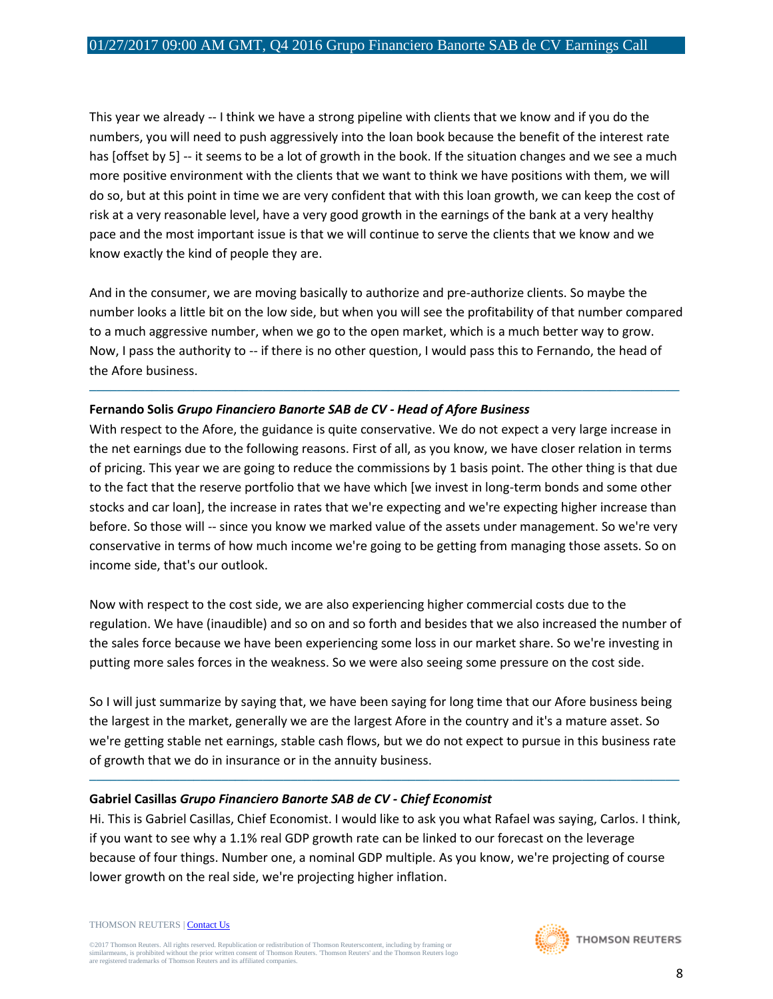This year we already -- I think we have a strong pipeline with clients that we know and if you do the numbers, you will need to push aggressively into the loan book because the benefit of the interest rate has [offset by 5] -- it seems to be a lot of growth in the book. If the situation changes and we see a much more positive environment with the clients that we want to think we have positions with them, we will do so, but at this point in time we are very confident that with this loan growth, we can keep the cost of risk at a very reasonable level, have a very good growth in the earnings of the bank at a very healthy pace and the most important issue is that we will continue to serve the clients that we know and we know exactly the kind of people they are.

And in the consumer, we are moving basically to authorize and pre-authorize clients. So maybe the number looks a little bit on the low side, but when you will see the profitability of that number compared to a much aggressive number, when we go to the open market, which is a much better way to grow. Now, I pass the authority to -- if there is no other question, I would pass this to Fernando, the head of the Afore business.

─────────────────────────────────────────────────────────────────────────────────────

#### **Fernando Solis** *Grupo Financiero Banorte SAB de CV - Head of Afore Business*

With respect to the Afore, the guidance is quite conservative. We do not expect a very large increase in the net earnings due to the following reasons. First of all, as you know, we have closer relation in terms of pricing. This year we are going to reduce the commissions by 1 basis point. The other thing is that due to the fact that the reserve portfolio that we have which [we invest in long-term bonds and some other stocks and car loan], the increase in rates that we're expecting and we're expecting higher increase than before. So those will -- since you know we marked value of the assets under management. So we're very conservative in terms of how much income we're going to be getting from managing those assets. So on income side, that's our outlook.

Now with respect to the cost side, we are also experiencing higher commercial costs due to the regulation. We have (inaudible) and so on and so forth and besides that we also increased the number of the sales force because we have been experiencing some loss in our market share. So we're investing in putting more sales forces in the weakness. So we were also seeing some pressure on the cost side.

So I will just summarize by saying that, we have been saying for long time that our Afore business being the largest in the market, generally we are the largest Afore in the country and it's a mature asset. So we're getting stable net earnings, stable cash flows, but we do not expect to pursue in this business rate of growth that we do in insurance or in the annuity business.

─────────────────────────────────────────────────────────────────────────────────────

#### **Gabriel Casillas** *Grupo Financiero Banorte SAB de CV - Chief Economist*

Hi. This is Gabriel Casillas, Chief Economist. I would like to ask you what Rafael was saying, Carlos. I think, if you want to see why a 1.1% real GDP growth rate can be linked to our forecast on the leverage because of four things. Number one, a nominal GDP multiple. As you know, we're projecting of course lower growth on the real side, we're projecting higher inflation.

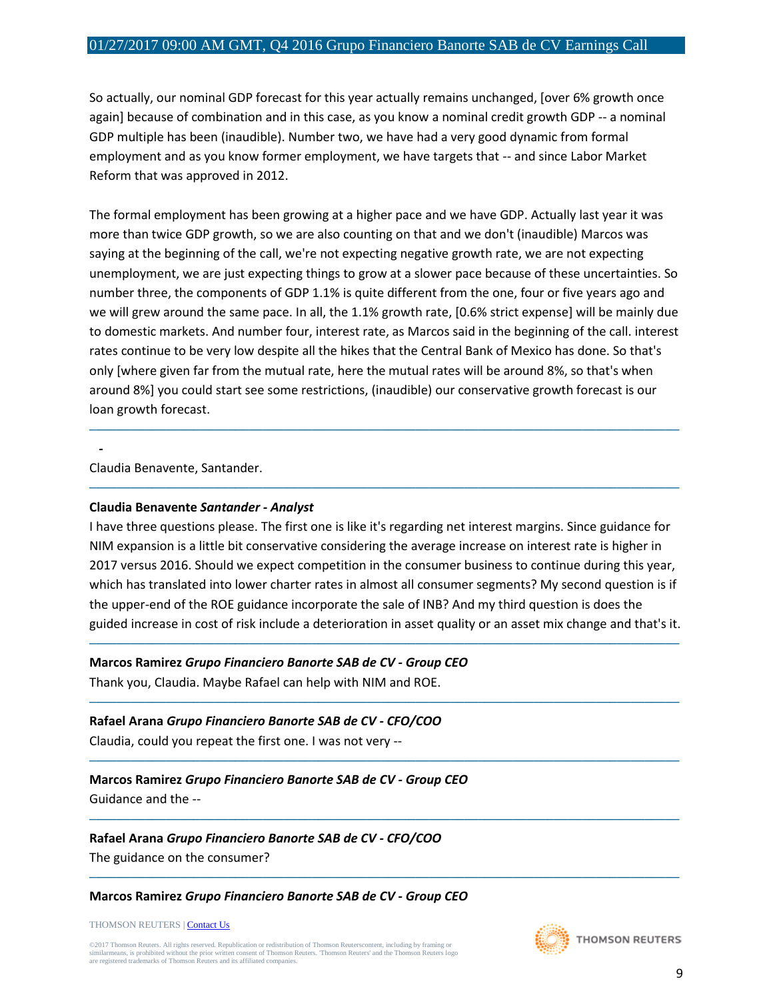So actually, our nominal GDP forecast for this year actually remains unchanged, [over 6% growth once again] because of combination and in this case, as you know a nominal credit growth GDP -- a nominal GDP multiple has been (inaudible). Number two, we have had a very good dynamic from formal employment and as you know former employment, we have targets that -- and since Labor Market Reform that was approved in 2012.

The formal employment has been growing at a higher pace and we have GDP. Actually last year it was more than twice GDP growth, so we are also counting on that and we don't (inaudible) Marcos was saying at the beginning of the call, we're not expecting negative growth rate, we are not expecting unemployment, we are just expecting things to grow at a slower pace because of these uncertainties. So number three, the components of GDP 1.1% is quite different from the one, four or five years ago and we will grew around the same pace. In all, the 1.1% growth rate, [0.6% strict expense] will be mainly due to domestic markets. And number four, interest rate, as Marcos said in the beginning of the call. interest rates continue to be very low despite all the hikes that the Central Bank of Mexico has done. So that's only [where given far from the mutual rate, here the mutual rates will be around 8%, so that's when around 8%] you could start see some restrictions, (inaudible) our conservative growth forecast is our loan growth forecast.

─────────────────────────────────────────────────────────────────────────────────────

─────────────────────────────────────────────────────────────────────────────────────

Claudia Benavente, Santander.

*-*

#### **Claudia Benavente** *Santander - Analyst*

I have three questions please. The first one is like it's regarding net interest margins. Since guidance for NIM expansion is a little bit conservative considering the average increase on interest rate is higher in 2017 versus 2016. Should we expect competition in the consumer business to continue during this year, which has translated into lower charter rates in almost all consumer segments? My second question is if the upper-end of the ROE guidance incorporate the sale of INB? And my third question is does the guided increase in cost of risk include a deterioration in asset quality or an asset mix change and that's it.

─────────────────────────────────────────────────────────────────────────────────────

─────────────────────────────────────────────────────────────────────────────────────

─────────────────────────────────────────────────────────────────────────────────────

─────────────────────────────────────────────────────────────────────────────────────

─────────────────────────────────────────────────────────────────────────────────────

#### **Marcos Ramirez** *Grupo Financiero Banorte SAB de CV - Group CEO*

Thank you, Claudia. Maybe Rafael can help with NIM and ROE.

**Rafael Arana** *Grupo Financiero Banorte SAB de CV - CFO/COO*

Claudia, could you repeat the first one. I was not very --

#### **Marcos Ramirez** *Grupo Financiero Banorte SAB de CV - Group CEO* Guidance and the --

**Rafael Arana** *Grupo Financiero Banorte SAB de CV - CFO/COO* The guidance on the consumer?

**Marcos Ramirez** *Grupo Financiero Banorte SAB de CV - Group CEO*

THOMSON REUTERS [| Contact Us](http://financial.thomsonreuters.com/en/contact-us.html)

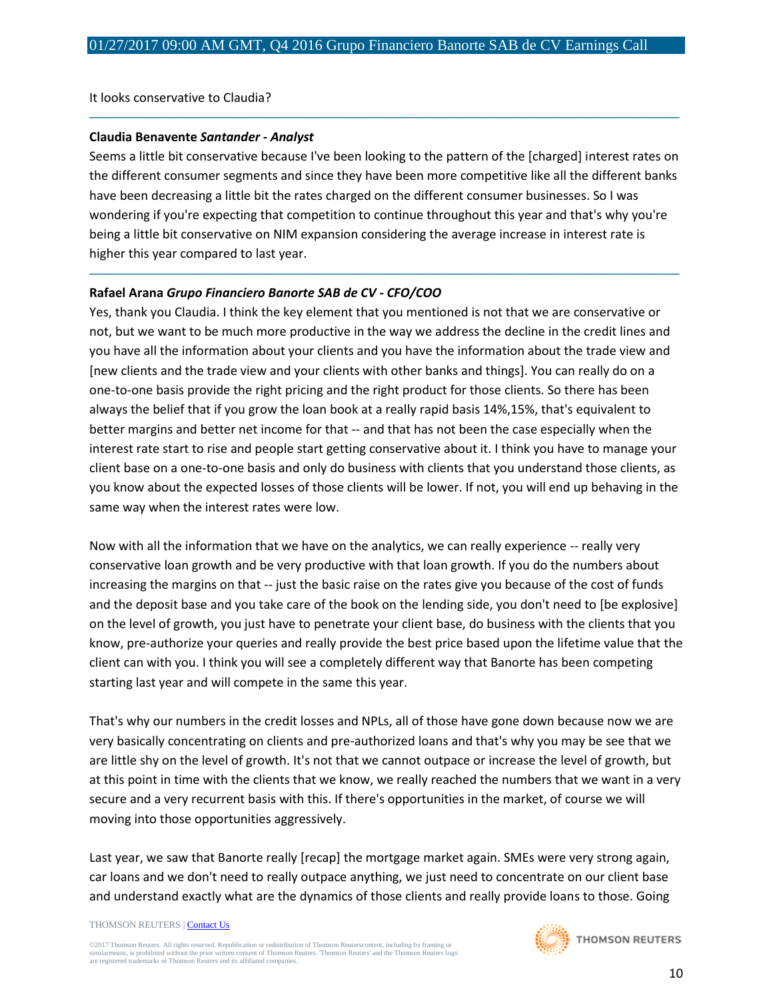It looks conservative to Claudia?

#### **Claudia Benavente** *Santander - Analyst*

Seems a little bit conservative because I've been looking to the pattern of the [charged] interest rates on the different consumer segments and since they have been more competitive like all the different banks have been decreasing a little bit the rates charged on the different consumer businesses. So I was wondering if you're expecting that competition to continue throughout this year and that's why you're being a little bit conservative on NIM expansion considering the average increase in interest rate is higher this year compared to last year.

─────────────────────────────────────────────────────────────────────────────────────

─────────────────────────────────────────────────────────────────────────────────────

#### **Rafael Arana** *Grupo Financiero Banorte SAB de CV - CFO/COO*

Yes, thank you Claudia. I think the key element that you mentioned is not that we are conservative or not, but we want to be much more productive in the way we address the decline in the credit lines and you have all the information about your clients and you have the information about the trade view and [new clients and the trade view and your clients with other banks and things]. You can really do on a one-to-one basis provide the right pricing and the right product for those clients. So there has been always the belief that if you grow the loan book at a really rapid basis 14%,15%, that's equivalent to better margins and better net income for that -- and that has not been the case especially when the interest rate start to rise and people start getting conservative about it. I think you have to manage your client base on a one-to-one basis and only do business with clients that you understand those clients, as you know about the expected losses of those clients will be lower. If not, you will end up behaving in the same way when the interest rates were low.

Now with all the information that we have on the analytics, we can really experience -- really very conservative loan growth and be very productive with that loan growth. If you do the numbers about increasing the margins on that -- just the basic raise on the rates give you because of the cost of funds and the deposit base and you take care of the book on the lending side, you don't need to [be explosive] on the level of growth, you just have to penetrate your client base, do business with the clients that you know, pre-authorize your queries and really provide the best price based upon the lifetime value that the client can with you. I think you will see a completely different way that Banorte has been competing starting last year and will compete in the same this year.

That's why our numbers in the credit losses and NPLs, all of those have gone down because now we are very basically concentrating on clients and pre-authorized loans and that's why you may be see that we are little shy on the level of growth. It's not that we cannot outpace or increase the level of growth, but at this point in time with the clients that we know, we really reached the numbers that we want in a very secure and a very recurrent basis with this. If there's opportunities in the market, of course we will moving into those opportunities aggressively.

Last year, we saw that Banorte really [recap] the mortgage market again. SMEs were very strong again, car loans and we don't need to really outpace anything, we just need to concentrate on our client base and understand exactly what are the dynamics of those clients and really provide loans to those. Going

#### THOMSON REUTERS [| Contact Us](http://financial.thomsonreuters.com/en/contact-us.html)

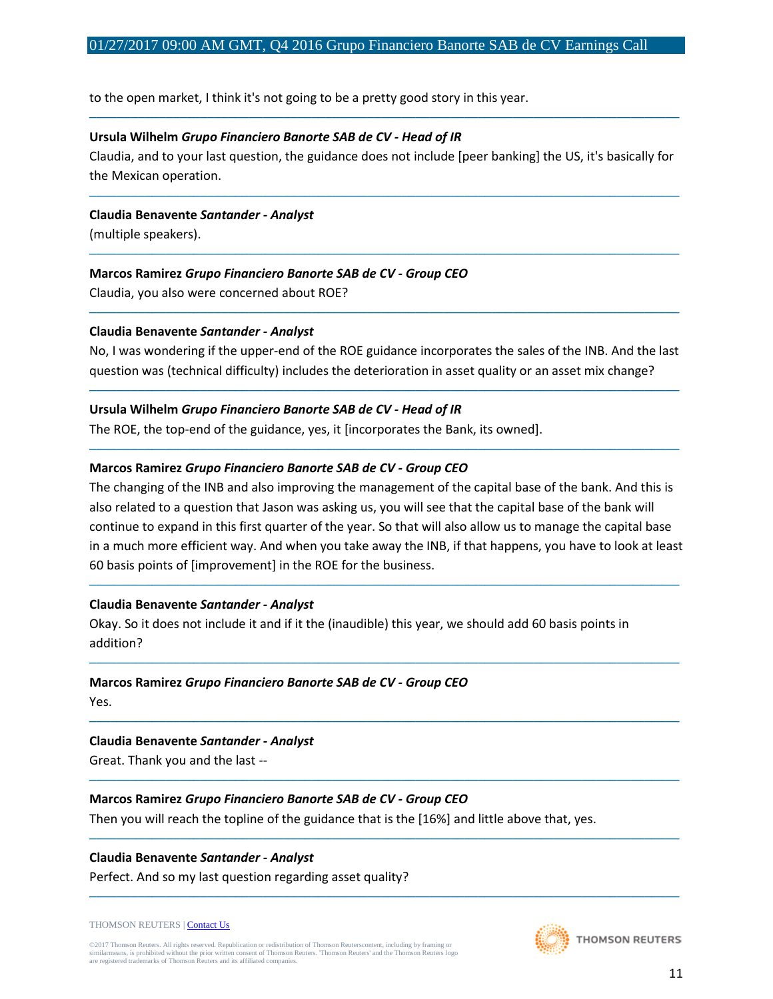to the open market, I think it's not going to be a pretty good story in this year.

#### **Ursula Wilhelm** *Grupo Financiero Banorte SAB de CV - Head of IR*

Claudia, and to your last question, the guidance does not include [peer banking] the US, it's basically for the Mexican operation.

─────────────────────────────────────────────────────────────────────────────────────

─────────────────────────────────────────────────────────────────────────────────────

─────────────────────────────────────────────────────────────────────────────────────

**Claudia Benavente** *Santander - Analyst*

(multiple speakers).

## **Marcos Ramirez** *Grupo Financiero Banorte SAB de CV - Group CEO*

Claudia, you also were concerned about ROE?

#### **Claudia Benavente** *Santander - Analyst*

No, I was wondering if the upper-end of the ROE guidance incorporates the sales of the INB. And the last question was (technical difficulty) includes the deterioration in asset quality or an asset mix change?

─────────────────────────────────────────────────────────────────────────────────────

─────────────────────────────────────────────────────────────────────────────────────

─────────────────────────────────────────────────────────────────────────────────────

## **Ursula Wilhelm** *Grupo Financiero Banorte SAB de CV - Head of IR*

The ROE, the top-end of the guidance, yes, it [incorporates the Bank, its owned].

## **Marcos Ramirez** *Grupo Financiero Banorte SAB de CV - Group CEO*

The changing of the INB and also improving the management of the capital base of the bank. And this is also related to a question that Jason was asking us, you will see that the capital base of the bank will continue to expand in this first quarter of the year. So that will also allow us to manage the capital base in a much more efficient way. And when you take away the INB, if that happens, you have to look at least 60 basis points of [improvement] in the ROE for the business.

─────────────────────────────────────────────────────────────────────────────────────

─────────────────────────────────────────────────────────────────────────────────────

─────────────────────────────────────────────────────────────────────────────────────

─────────────────────────────────────────────────────────────────────────────────────

─────────────────────────────────────────────────────────────────────────────────────

─────────────────────────────────────────────────────────────────────────────────────

#### **Claudia Benavente** *Santander - Analyst*

Okay. So it does not include it and if it the (inaudible) this year, we should add 60 basis points in addition?

#### **Marcos Ramirez** *Grupo Financiero Banorte SAB de CV - Group CEO*

Yes.

#### **Claudia Benavente** *Santander - Analyst*

Great. Thank you and the last --

## **Marcos Ramirez** *Grupo Financiero Banorte SAB de CV - Group CEO*

Then you will reach the topline of the guidance that is the [16%] and little above that, yes.

#### **Claudia Benavente** *Santander - Analyst*

Perfect. And so my last question regarding asset quality?

#### THOMSON REUTERS [| Contact Us](http://financial.thomsonreuters.com/en/contact-us.html)

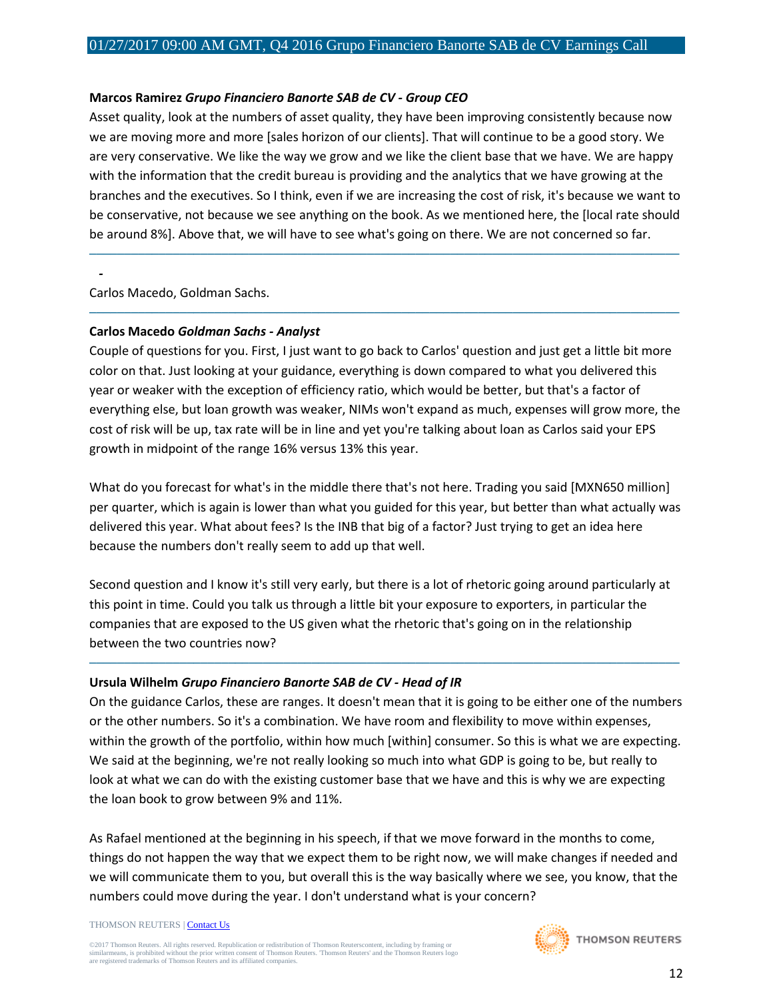#### **Marcos Ramirez** *Grupo Financiero Banorte SAB de CV - Group CEO*

Asset quality, look at the numbers of asset quality, they have been improving consistently because now we are moving more and more [sales horizon of our clients]. That will continue to be a good story. We are very conservative. We like the way we grow and we like the client base that we have. We are happy with the information that the credit bureau is providing and the analytics that we have growing at the branches and the executives. So I think, even if we are increasing the cost of risk, it's because we want to be conservative, not because we see anything on the book. As we mentioned here, the [local rate should be around 8%]. Above that, we will have to see what's going on there. We are not concerned so far.

─────────────────────────────────────────────────────────────────────────────────────

─────────────────────────────────────────────────────────────────────────────────────

Carlos Macedo, Goldman Sachs.

*-*

#### **Carlos Macedo** *Goldman Sachs - Analyst*

Couple of questions for you. First, I just want to go back to Carlos' question and just get a little bit more color on that. Just looking at your guidance, everything is down compared to what you delivered this year or weaker with the exception of efficiency ratio, which would be better, but that's a factor of everything else, but loan growth was weaker, NIMs won't expand as much, expenses will grow more, the cost of risk will be up, tax rate will be in line and yet you're talking about loan as Carlos said your EPS growth in midpoint of the range 16% versus 13% this year.

What do you forecast for what's in the middle there that's not here. Trading you said [MXN650 million] per quarter, which is again is lower than what you guided for this year, but better than what actually was delivered this year. What about fees? Is the INB that big of a factor? Just trying to get an idea here because the numbers don't really seem to add up that well.

Second question and I know it's still very early, but there is a lot of rhetoric going around particularly at this point in time. Could you talk us through a little bit your exposure to exporters, in particular the companies that are exposed to the US given what the rhetoric that's going on in the relationship between the two countries now?

─────────────────────────────────────────────────────────────────────────────────────

#### **Ursula Wilhelm** *Grupo Financiero Banorte SAB de CV - Head of IR*

On the guidance Carlos, these are ranges. It doesn't mean that it is going to be either one of the numbers or the other numbers. So it's a combination. We have room and flexibility to move within expenses, within the growth of the portfolio, within how much [within] consumer. So this is what we are expecting. We said at the beginning, we're not really looking so much into what GDP is going to be, but really to look at what we can do with the existing customer base that we have and this is why we are expecting the loan book to grow between 9% and 11%.

As Rafael mentioned at the beginning in his speech, if that we move forward in the months to come, things do not happen the way that we expect them to be right now, we will make changes if needed and we will communicate them to you, but overall this is the way basically where we see, you know, that the numbers could move during the year. I don't understand what is your concern?

THOMSON REUTERS [| Contact Us](http://financial.thomsonreuters.com/en/contact-us.html)

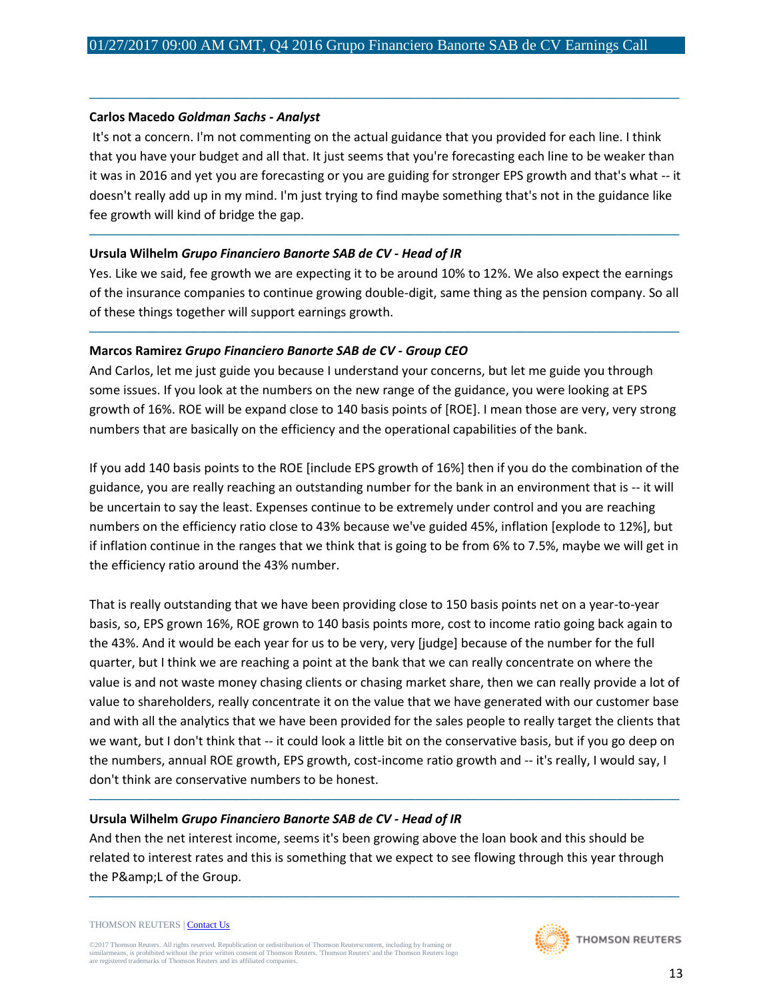#### **Carlos Macedo** *Goldman Sachs - Analyst*

It's not a concern. I'm not commenting on the actual guidance that you provided for each line. I think that you have your budget and all that. It just seems that you're forecasting each line to be weaker than it was in 2016 and yet you are forecasting or you are guiding for stronger EPS growth and that's what -- it doesn't really add up in my mind. I'm just trying to find maybe something that's not in the guidance like fee growth will kind of bridge the gap.

─────────────────────────────────────────────────────────────────────────────────────

#### **Ursula Wilhelm** *Grupo Financiero Banorte SAB de CV - Head of IR*

Yes. Like we said, fee growth we are expecting it to be around 10% to 12%. We also expect the earnings of the insurance companies to continue growing double-digit, same thing as the pension company. So all of these things together will support earnings growth.

─────────────────────────────────────────────────────────────────────────────────────

─────────────────────────────────────────────────────────────────────────────────────

#### **Marcos Ramirez** *Grupo Financiero Banorte SAB de CV - Group CEO*

And Carlos, let me just guide you because I understand your concerns, but let me guide you through some issues. If you look at the numbers on the new range of the guidance, you were looking at EPS growth of 16%. ROE will be expand close to 140 basis points of [ROE]. I mean those are very, very strong numbers that are basically on the efficiency and the operational capabilities of the bank.

If you add 140 basis points to the ROE [include EPS growth of 16%] then if you do the combination of the guidance, you are really reaching an outstanding number for the bank in an environment that is -- it will be uncertain to say the least. Expenses continue to be extremely under control and you are reaching numbers on the efficiency ratio close to 43% because we've guided 45%, inflation [explode to 12%], but if inflation continue in the ranges that we think that is going to be from 6% to 7.5%, maybe we will get in the efficiency ratio around the 43% number.

That is really outstanding that we have been providing close to 150 basis points net on a year-to-year basis, so, EPS grown 16%, ROE grown to 140 basis points more, cost to income ratio going back again to the 43%. And it would be each year for us to be very, very [judge] because of the number for the full quarter, but I think we are reaching a point at the bank that we can really concentrate on where the value is and not waste money chasing clients or chasing market share, then we can really provide a lot of value to shareholders, really concentrate it on the value that we have generated with our customer base and with all the analytics that we have been provided for the sales people to really target the clients that we want, but I don't think that -- it could look a little bit on the conservative basis, but if you go deep on the numbers, annual ROE growth, EPS growth, cost-income ratio growth and -- it's really, I would say, I don't think are conservative numbers to be honest.

#### **Ursula Wilhelm** *Grupo Financiero Banorte SAB de CV - Head of IR*

And then the net interest income, seems it's been growing above the loan book and this should be related to interest rates and this is something that we expect to see flowing through this year through the P&L of the Group.

─────────────────────────────────────────────────────────────────────────────────────

─────────────────────────────────────────────────────────────────────────────────────

```
THOMSON REUTERS | Contact Us
```
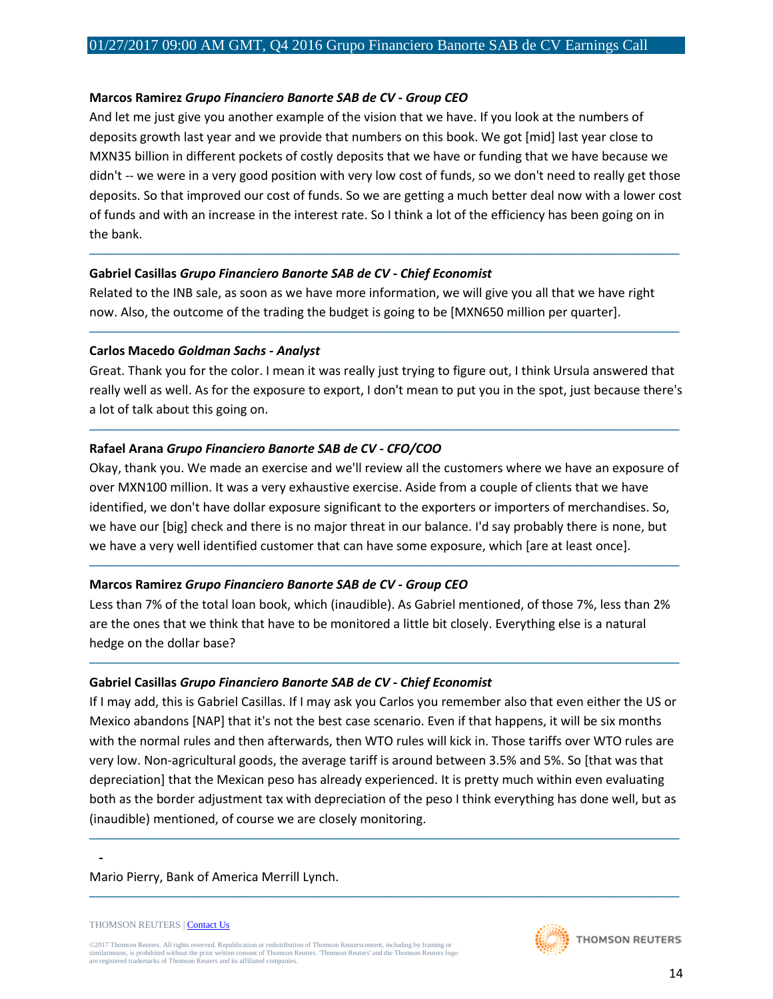#### **Marcos Ramirez** *Grupo Financiero Banorte SAB de CV - Group CEO*

And let me just give you another example of the vision that we have. If you look at the numbers of deposits growth last year and we provide that numbers on this book. We got [mid] last year close to MXN35 billion in different pockets of costly deposits that we have or funding that we have because we didn't -- we were in a very good position with very low cost of funds, so we don't need to really get those deposits. So that improved our cost of funds. So we are getting a much better deal now with a lower cost of funds and with an increase in the interest rate. So I think a lot of the efficiency has been going on in the bank.

─────────────────────────────────────────────────────────────────────────────────────

#### **Gabriel Casillas** *Grupo Financiero Banorte SAB de CV - Chief Economist*

Related to the INB sale, as soon as we have more information, we will give you all that we have right now. Also, the outcome of the trading the budget is going to be [MXN650 million per quarter].

#### **Carlos Macedo** *Goldman Sachs - Analyst*

Great. Thank you for the color. I mean it was really just trying to figure out, I think Ursula answered that really well as well. As for the exposure to export, I don't mean to put you in the spot, just because there's a lot of talk about this going on.

─────────────────────────────────────────────────────────────────────────────────────

─────────────────────────────────────────────────────────────────────────────────────

#### **Rafael Arana** *Grupo Financiero Banorte SAB de CV - CFO/COO*

Okay, thank you. We made an exercise and we'll review all the customers where we have an exposure of over MXN100 million. It was a very exhaustive exercise. Aside from a couple of clients that we have identified, we don't have dollar exposure significant to the exporters or importers of merchandises. So, we have our [big] check and there is no major threat in our balance. I'd say probably there is none, but we have a very well identified customer that can have some exposure, which [are at least once].

─────────────────────────────────────────────────────────────────────────────────────

#### **Marcos Ramirez** *Grupo Financiero Banorte SAB de CV - Group CEO*

Less than 7% of the total loan book, which (inaudible). As Gabriel mentioned, of those 7%, less than 2% are the ones that we think that have to be monitored a little bit closely. Everything else is a natural hedge on the dollar base?

─────────────────────────────────────────────────────────────────────────────────────

#### **Gabriel Casillas** *Grupo Financiero Banorte SAB de CV - Chief Economist*

If I may add, this is Gabriel Casillas. If I may ask you Carlos you remember also that even either the US or Mexico abandons [NAP] that it's not the best case scenario. Even if that happens, it will be six months with the normal rules and then afterwards, then WTO rules will kick in. Those tariffs over WTO rules are very low. Non-agricultural goods, the average tariff is around between 3.5% and 5%. So [that was that depreciation] that the Mexican peso has already experienced. It is pretty much within even evaluating both as the border adjustment tax with depreciation of the peso I think everything has done well, but as (inaudible) mentioned, of course we are closely monitoring.

─────────────────────────────────────────────────────────────────────────────────────

─────────────────────────────────────────────────────────────────────────────────────

#### Mario Pierry, Bank of America Merrill Lynch.

*-*



THOMSON REUTERS [| Contact Us](http://financial.thomsonreuters.com/en/contact-us.html)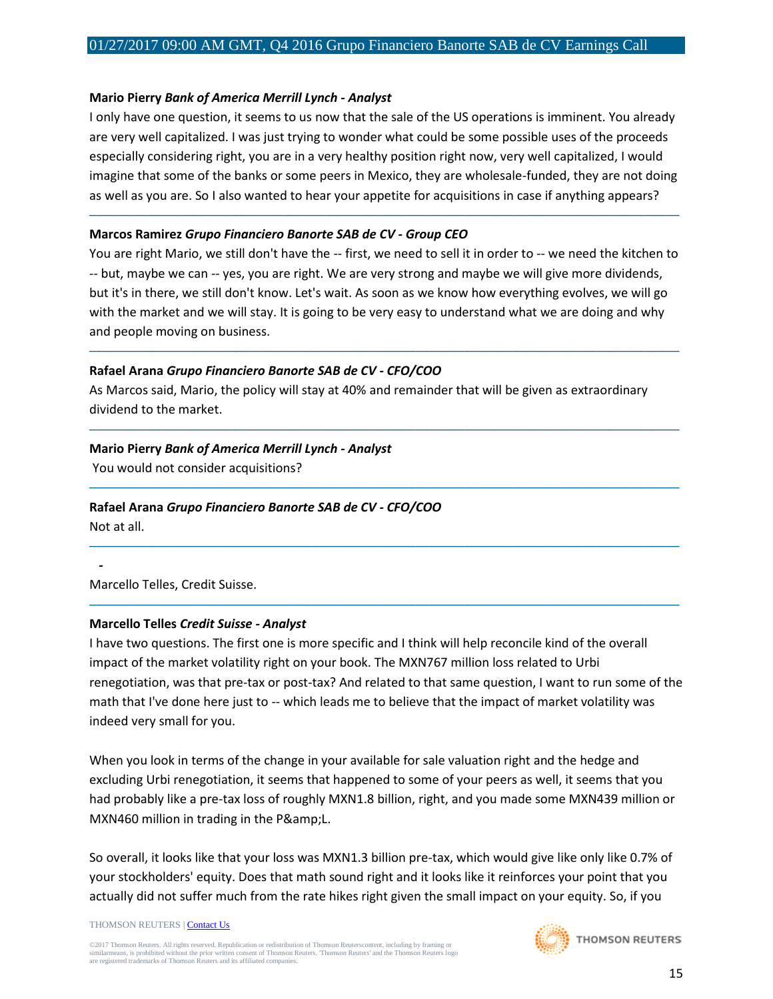#### **Mario Pierry** *Bank of America Merrill Lynch - Analyst*

I only have one question, it seems to us now that the sale of the US operations is imminent. You already are very well capitalized. I was just trying to wonder what could be some possible uses of the proceeds especially considering right, you are in a very healthy position right now, very well capitalized, I would imagine that some of the banks or some peers in Mexico, they are wholesale-funded, they are not doing as well as you are. So I also wanted to hear your appetite for acquisitions in case if anything appears?

─────────────────────────────────────────────────────────────────────────────────────

#### **Marcos Ramirez** *Grupo Financiero Banorte SAB de CV - Group CEO*

You are right Mario, we still don't have the -- first, we need to sell it in order to -- we need the kitchen to -- but, maybe we can -- yes, you are right. We are very strong and maybe we will give more dividends, but it's in there, we still don't know. Let's wait. As soon as we know how everything evolves, we will go with the market and we will stay. It is going to be very easy to understand what we are doing and why and people moving on business.

─────────────────────────────────────────────────────────────────────────────────────

─────────────────────────────────────────────────────────────────────────────────────

─────────────────────────────────────────────────────────────────────────────────────

─────────────────────────────────────────────────────────────────────────────────────

─────────────────────────────────────────────────────────────────────────────────────

## **Rafael Arana** *Grupo Financiero Banorte SAB de CV - CFO/COO*

As Marcos said, Mario, the policy will stay at 40% and remainder that will be given as extraordinary dividend to the market.

## **Mario Pierry** *Bank of America Merrill Lynch - Analyst*

You would not consider acquisitions?

# **Rafael Arana** *Grupo Financiero Banorte SAB de CV - CFO/COO*

Not at all.

*-*

Marcello Telles, Credit Suisse.

## **Marcello Telles** *Credit Suisse - Analyst*

I have two questions. The first one is more specific and I think will help reconcile kind of the overall impact of the market volatility right on your book. The MXN767 million loss related to Urbi renegotiation, was that pre-tax or post-tax? And related to that same question, I want to run some of the math that I've done here just to -- which leads me to believe that the impact of market volatility was indeed very small for you.

When you look in terms of the change in your available for sale valuation right and the hedge and excluding Urbi renegotiation, it seems that happened to some of your peers as well, it seems that you had probably like a pre-tax loss of roughly MXN1.8 billion, right, and you made some MXN439 million or MXN460 million in trading in the P&L.

So overall, it looks like that your loss was MXN1.3 billion pre-tax, which would give like only like 0.7% of your stockholders' equity. Does that math sound right and it looks like it reinforces your point that you actually did not suffer much from the rate hikes right given the small impact on your equity. So, if you

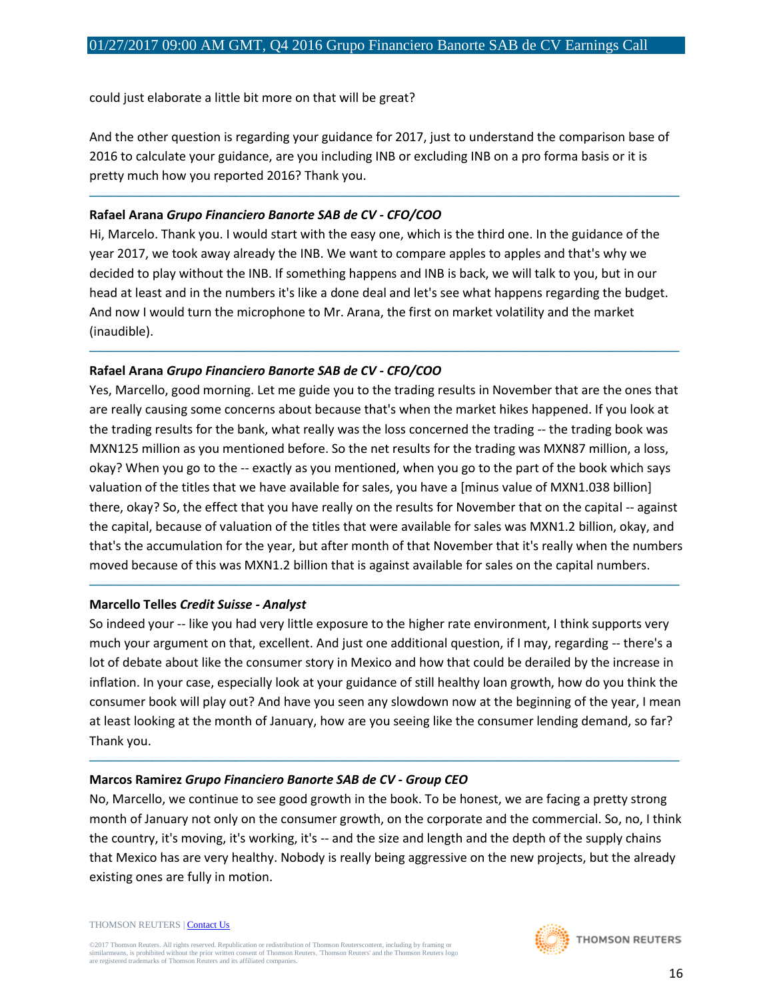could just elaborate a little bit more on that will be great?

And the other question is regarding your guidance for 2017, just to understand the comparison base of 2016 to calculate your guidance, are you including INB or excluding INB on a pro forma basis or it is pretty much how you reported 2016? Thank you.

─────────────────────────────────────────────────────────────────────────────────────

#### **Rafael Arana** *Grupo Financiero Banorte SAB de CV - CFO/COO*

Hi, Marcelo. Thank you. I would start with the easy one, which is the third one. In the guidance of the year 2017, we took away already the INB. We want to compare apples to apples and that's why we decided to play without the INB. If something happens and INB is back, we will talk to you, but in our head at least and in the numbers it's like a done deal and let's see what happens regarding the budget. And now I would turn the microphone to Mr. Arana, the first on market volatility and the market (inaudible).

─────────────────────────────────────────────────────────────────────────────────────

## **Rafael Arana** *Grupo Financiero Banorte SAB de CV - CFO/COO*

Yes, Marcello, good morning. Let me guide you to the trading results in November that are the ones that are really causing some concerns about because that's when the market hikes happened. If you look at the trading results for the bank, what really was the loss concerned the trading -- the trading book was MXN125 million as you mentioned before. So the net results for the trading was MXN87 million, a loss, okay? When you go to the -- exactly as you mentioned, when you go to the part of the book which says valuation of the titles that we have available for sales, you have a [minus value of MXN1.038 billion] there, okay? So, the effect that you have really on the results for November that on the capital -- against the capital, because of valuation of the titles that were available for sales was MXN1.2 billion, okay, and that's the accumulation for the year, but after month of that November that it's really when the numbers moved because of this was MXN1.2 billion that is against available for sales on the capital numbers.

#### **Marcello Telles** *Credit Suisse - Analyst*

So indeed your -- like you had very little exposure to the higher rate environment, I think supports very much your argument on that, excellent. And just one additional question, if I may, regarding -- there's a lot of debate about like the consumer story in Mexico and how that could be derailed by the increase in inflation. In your case, especially look at your guidance of still healthy loan growth, how do you think the consumer book will play out? And have you seen any slowdown now at the beginning of the year, I mean at least looking at the month of January, how are you seeing like the consumer lending demand, so far? Thank you.

─────────────────────────────────────────────────────────────────────────────────────

─────────────────────────────────────────────────────────────────────────────────────

#### **Marcos Ramirez** *Grupo Financiero Banorte SAB de CV - Group CEO*

No, Marcello, we continue to see good growth in the book. To be honest, we are facing a pretty strong month of January not only on the consumer growth, on the corporate and the commercial. So, no, I think the country, it's moving, it's working, it's -- and the size and length and the depth of the supply chains that Mexico has are very healthy. Nobody is really being aggressive on the new projects, but the already existing ones are fully in motion.

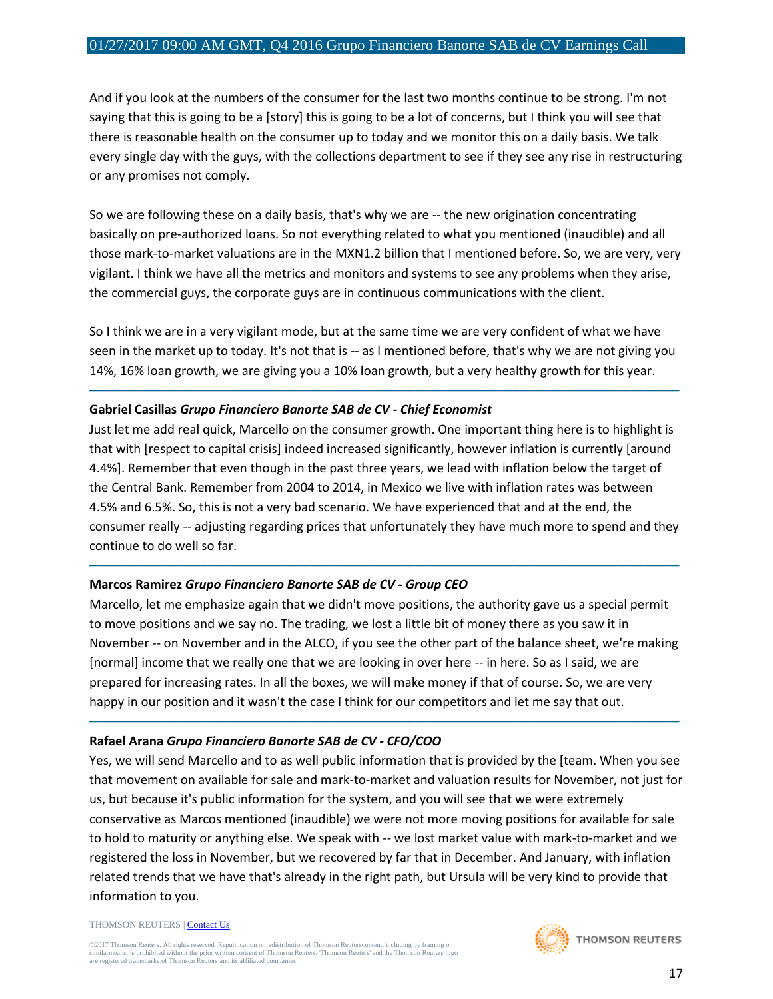And if you look at the numbers of the consumer for the last two months continue to be strong. I'm not saying that this is going to be a [story] this is going to be a lot of concerns, but I think you will see that there is reasonable health on the consumer up to today and we monitor this on a daily basis. We talk every single day with the guys, with the collections department to see if they see any rise in restructuring or any promises not comply.

So we are following these on a daily basis, that's why we are -- the new origination concentrating basically on pre-authorized loans. So not everything related to what you mentioned (inaudible) and all those mark-to-market valuations are in the MXN1.2 billion that I mentioned before. So, we are very, very vigilant. I think we have all the metrics and monitors and systems to see any problems when they arise, the commercial guys, the corporate guys are in continuous communications with the client.

So I think we are in a very vigilant mode, but at the same time we are very confident of what we have seen in the market up to today. It's not that is -- as I mentioned before, that's why we are not giving you 14%, 16% loan growth, we are giving you a 10% loan growth, but a very healthy growth for this year.

─────────────────────────────────────────────────────────────────────────────────────

#### **Gabriel Casillas** *Grupo Financiero Banorte SAB de CV - Chief Economist*

Just let me add real quick, Marcello on the consumer growth. One important thing here is to highlight is that with [respect to capital crisis] indeed increased significantly, however inflation is currently [around 4.4%]. Remember that even though in the past three years, we lead with inflation below the target of the Central Bank. Remember from 2004 to 2014, in Mexico we live with inflation rates was between 4.5% and 6.5%. So, this is not a very bad scenario. We have experienced that and at the end, the consumer really -- adjusting regarding prices that unfortunately they have much more to spend and they continue to do well so far.

─────────────────────────────────────────────────────────────────────────────────────

## **Marcos Ramirez** *Grupo Financiero Banorte SAB de CV - Group CEO*

Marcello, let me emphasize again that we didn't move positions, the authority gave us a special permit to move positions and we say no. The trading, we lost a little bit of money there as you saw it in November -- on November and in the ALCO, if you see the other part of the balance sheet, we're making [normal] income that we really one that we are looking in over here -- in here. So as I said, we are prepared for increasing rates. In all the boxes, we will make money if that of course. So, we are very happy in our position and it wasn't the case I think for our competitors and let me say that out.

─────────────────────────────────────────────────────────────────────────────────────

## **Rafael Arana** *Grupo Financiero Banorte SAB de CV - CFO/COO*

Yes, we will send Marcello and to as well public information that is provided by the [team. When you see that movement on available for sale and mark-to-market and valuation results for November, not just for us, but because it's public information for the system, and you will see that we were extremely conservative as Marcos mentioned (inaudible) we were not more moving positions for available for sale to hold to maturity or anything else. We speak with -- we lost market value with mark-to-market and we registered the loss in November, but we recovered by far that in December. And January, with inflation related trends that we have that's already in the right path, but Ursula will be very kind to provide that information to you.

THOMSON REUTERS [| Contact Us](http://financial.thomsonreuters.com/en/contact-us.html)

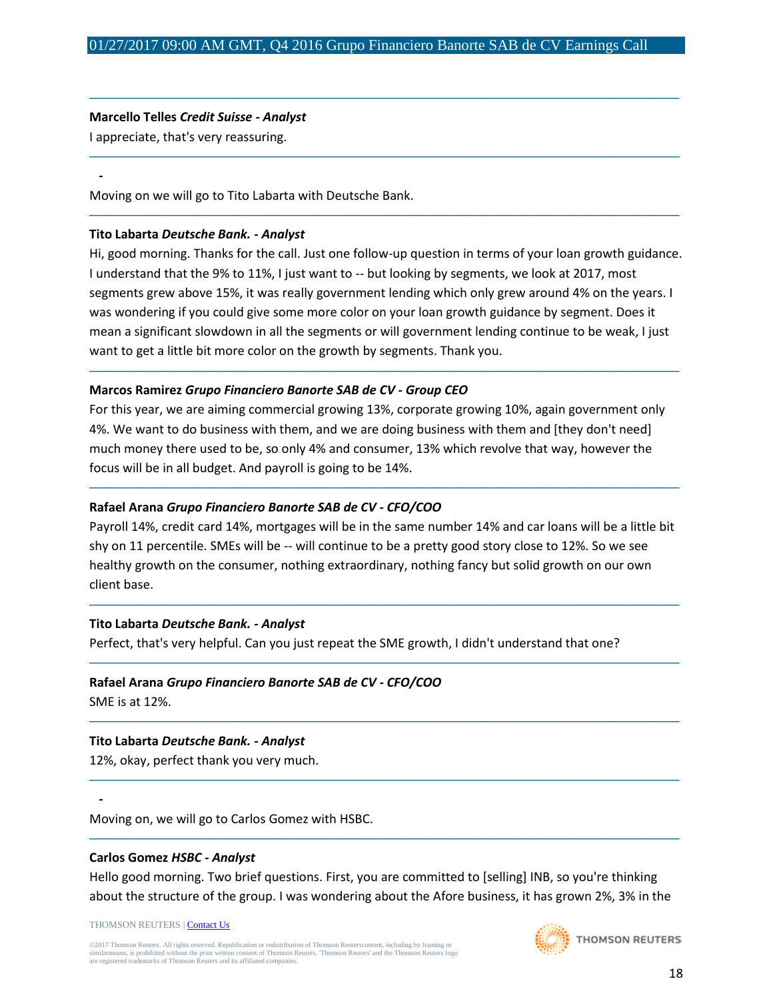─────────────────────────────────────────────────────────────────────────────────────

─────────────────────────────────────────────────────────────────────────────────────

─────────────────────────────────────────────────────────────────────────────────────

#### **Marcello Telles** *Credit Suisse - Analyst*

I appreciate, that's very reassuring.

*-*

Moving on we will go to Tito Labarta with Deutsche Bank.

#### **Tito Labarta** *Deutsche Bank. - Analyst*

Hi, good morning. Thanks for the call. Just one follow-up question in terms of your loan growth guidance. I understand that the 9% to 11%, I just want to -- but looking by segments, we look at 2017, most segments grew above 15%, it was really government lending which only grew around 4% on the years. I was wondering if you could give some more color on your loan growth guidance by segment. Does it mean a significant slowdown in all the segments or will government lending continue to be weak, I just want to get a little bit more color on the growth by segments. Thank you.

─────────────────────────────────────────────────────────────────────────────────────

#### **Marcos Ramirez** *Grupo Financiero Banorte SAB de CV - Group CEO*

For this year, we are aiming commercial growing 13%, corporate growing 10%, again government only 4%. We want to do business with them, and we are doing business with them and [they don't need] much money there used to be, so only 4% and consumer, 13% which revolve that way, however the focus will be in all budget. And payroll is going to be 14%.

#### **Rafael Arana** *Grupo Financiero Banorte SAB de CV - CFO/COO*

Payroll 14%, credit card 14%, mortgages will be in the same number 14% and car loans will be a little bit shy on 11 percentile. SMEs will be -- will continue to be a pretty good story close to 12%. So we see healthy growth on the consumer, nothing extraordinary, nothing fancy but solid growth on our own client base.

─────────────────────────────────────────────────────────────────────────────────────

─────────────────────────────────────────────────────────────────────────────────────

─────────────────────────────────────────────────────────────────────────────────────

─────────────────────────────────────────────────────────────────────────────────────

─────────────────────────────────────────────────────────────────────────────────────

─────────────────────────────────────────────────────────────────────────────────────

#### **Tito Labarta** *Deutsche Bank. - Analyst*

Perfect, that's very helpful. Can you just repeat the SME growth, I didn't understand that one?

#### **Rafael Arana** *Grupo Financiero Banorte SAB de CV - CFO/COO*

SME is at 12%.

*-*

#### **Tito Labarta** *Deutsche Bank. - Analyst*

12%, okay, perfect thank you very much.

Moving on, we will go to Carlos Gomez with HSBC.

#### **Carlos Gomez** *HSBC - Analyst*

Hello good morning. Two brief questions. First, you are committed to [selling] INB, so you're thinking about the structure of the group. I was wondering about the Afore business, it has grown 2%, 3% in the

THOMSON REUTERS [| Contact Us](http://financial.thomsonreuters.com/en/contact-us.html)

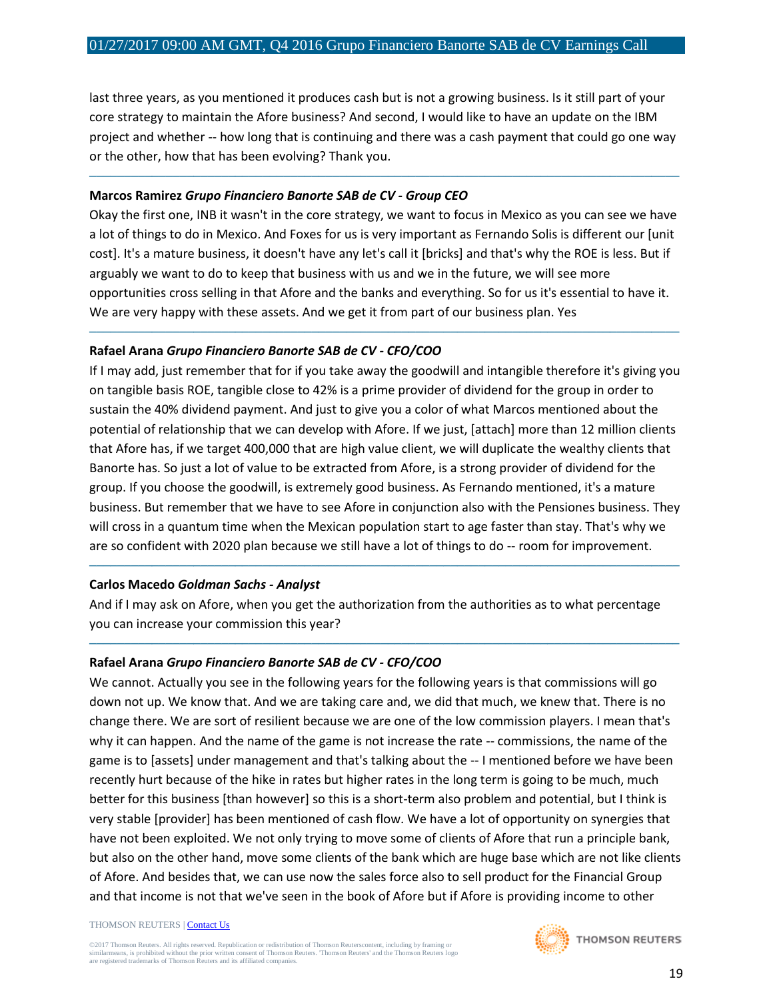last three years, as you mentioned it produces cash but is not a growing business. Is it still part of your core strategy to maintain the Afore business? And second, I would like to have an update on the IBM project and whether -- how long that is continuing and there was a cash payment that could go one way or the other, how that has been evolving? Thank you.

─────────────────────────────────────────────────────────────────────────────────────

#### **Marcos Ramirez** *Grupo Financiero Banorte SAB de CV - Group CEO*

Okay the first one, INB it wasn't in the core strategy, we want to focus in Mexico as you can see we have a lot of things to do in Mexico. And Foxes for us is very important as Fernando Solis is different our [unit cost]. It's a mature business, it doesn't have any let's call it [bricks] and that's why the ROE is less. But if arguably we want to do to keep that business with us and we in the future, we will see more opportunities cross selling in that Afore and the banks and everything. So for us it's essential to have it. We are very happy with these assets. And we get it from part of our business plan. Yes

─────────────────────────────────────────────────────────────────────────────────────

## **Rafael Arana** *Grupo Financiero Banorte SAB de CV - CFO/COO*

If I may add, just remember that for if you take away the goodwill and intangible therefore it's giving you on tangible basis ROE, tangible close to 42% is a prime provider of dividend for the group in order to sustain the 40% dividend payment. And just to give you a color of what Marcos mentioned about the potential of relationship that we can develop with Afore. If we just, [attach] more than 12 million clients that Afore has, if we target 400,000 that are high value client, we will duplicate the wealthy clients that Banorte has. So just a lot of value to be extracted from Afore, is a strong provider of dividend for the group. If you choose the goodwill, is extremely good business. As Fernando mentioned, it's a mature business. But remember that we have to see Afore in conjunction also with the Pensiones business. They will cross in a quantum time when the Mexican population start to age faster than stay. That's why we are so confident with 2020 plan because we still have a lot of things to do -- room for improvement.

## **Carlos Macedo** *Goldman Sachs - Analyst*

And if I may ask on Afore, when you get the authorization from the authorities as to what percentage you can increase your commission this year?

─────────────────────────────────────────────────────────────────────────────────────

─────────────────────────────────────────────────────────────────────────────────────

# **Rafael Arana** *Grupo Financiero Banorte SAB de CV - CFO/COO*

We cannot. Actually you see in the following years for the following years is that commissions will go down not up. We know that. And we are taking care and, we did that much, we knew that. There is no change there. We are sort of resilient because we are one of the low commission players. I mean that's why it can happen. And the name of the game is not increase the rate -- commissions, the name of the game is to [assets] under management and that's talking about the -- I mentioned before we have been recently hurt because of the hike in rates but higher rates in the long term is going to be much, much better for this business [than however] so this is a short-term also problem and potential, but I think is very stable [provider] has been mentioned of cash flow. We have a lot of opportunity on synergies that have not been exploited. We not only trying to move some of clients of Afore that run a principle bank, but also on the other hand, move some clients of the bank which are huge base which are not like clients of Afore. And besides that, we can use now the sales force also to sell product for the Financial Group and that income is not that we've seen in the book of Afore but if Afore is providing income to other

#### THOMSON REUTERS [| Contact Us](http://financial.thomsonreuters.com/en/contact-us.html)

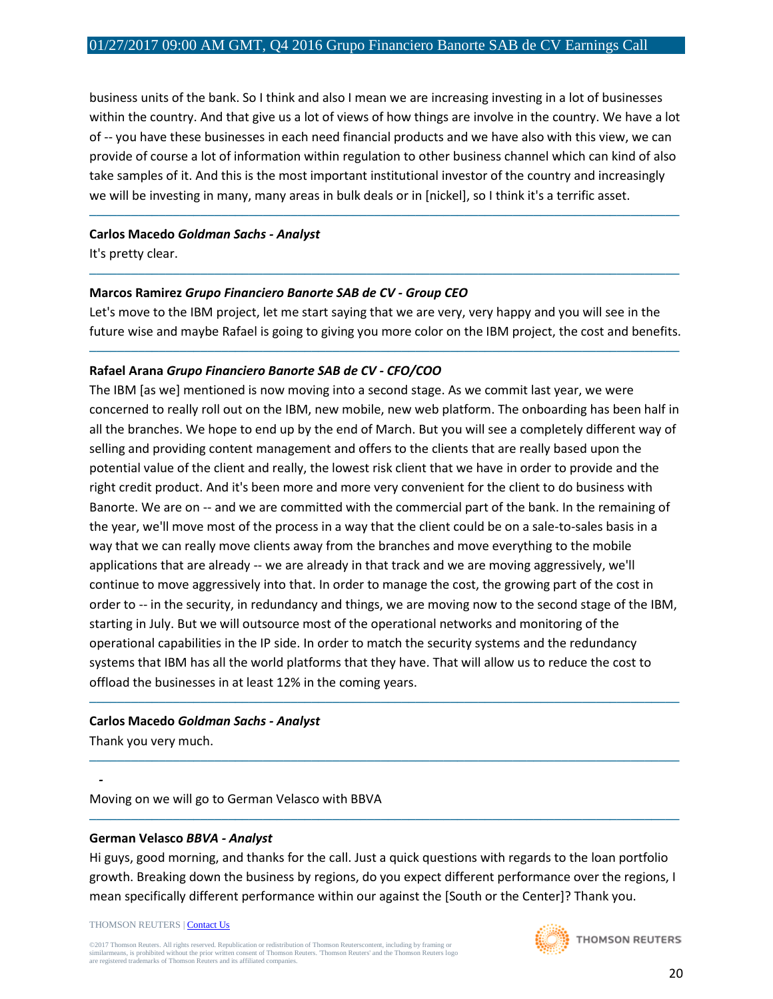business units of the bank. So I think and also I mean we are increasing investing in a lot of businesses within the country. And that give us a lot of views of how things are involve in the country. We have a lot of -- you have these businesses in each need financial products and we have also with this view, we can provide of course a lot of information within regulation to other business channel which can kind of also take samples of it. And this is the most important institutional investor of the country and increasingly we will be investing in many, many areas in bulk deals or in [nickel], so I think it's a terrific asset.

─────────────────────────────────────────────────────────────────────────────────────

#### **Carlos Macedo** *Goldman Sachs - Analyst*

It's pretty clear.

#### **Marcos Ramirez** *Grupo Financiero Banorte SAB de CV - Group CEO*

Let's move to the IBM project, let me start saying that we are very, very happy and you will see in the future wise and maybe Rafael is going to giving you more color on the IBM project, the cost and benefits.

─────────────────────────────────────────────────────────────────────────────────────

─────────────────────────────────────────────────────────────────────────────────────

#### **Rafael Arana** *Grupo Financiero Banorte SAB de CV - CFO/COO*

The IBM [as we] mentioned is now moving into a second stage. As we commit last year, we were concerned to really roll out on the IBM, new mobile, new web platform. The onboarding has been half in all the branches. We hope to end up by the end of March. But you will see a completely different way of selling and providing content management and offers to the clients that are really based upon the potential value of the client and really, the lowest risk client that we have in order to provide and the right credit product. And it's been more and more very convenient for the client to do business with Banorte. We are on -- and we are committed with the commercial part of the bank. In the remaining of the year, we'll move most of the process in a way that the client could be on a sale-to-sales basis in a way that we can really move clients away from the branches and move everything to the mobile applications that are already -- we are already in that track and we are moving aggressively, we'll continue to move aggressively into that. In order to manage the cost, the growing part of the cost in order to -- in the security, in redundancy and things, we are moving now to the second stage of the IBM, starting in July. But we will outsource most of the operational networks and monitoring of the operational capabilities in the IP side. In order to match the security systems and the redundancy systems that IBM has all the world platforms that they have. That will allow us to reduce the cost to offload the businesses in at least 12% in the coming years.

─────────────────────────────────────────────────────────────────────────────────────

─────────────────────────────────────────────────────────────────────────────────────

─────────────────────────────────────────────────────────────────────────────────────

#### **Carlos Macedo** *Goldman Sachs - Analyst*

Thank you very much.

*-*

Moving on we will go to German Velasco with BBVA

#### **German Velasco** *BBVA - Analyst*

Hi guys, good morning, and thanks for the call. Just a quick questions with regards to the loan portfolio growth. Breaking down the business by regions, do you expect different performance over the regions, I mean specifically different performance within our against the [South or the Center]? Thank you.

THOMSON REUTERS [| Contact Us](http://financial.thomsonreuters.com/en/contact-us.html)

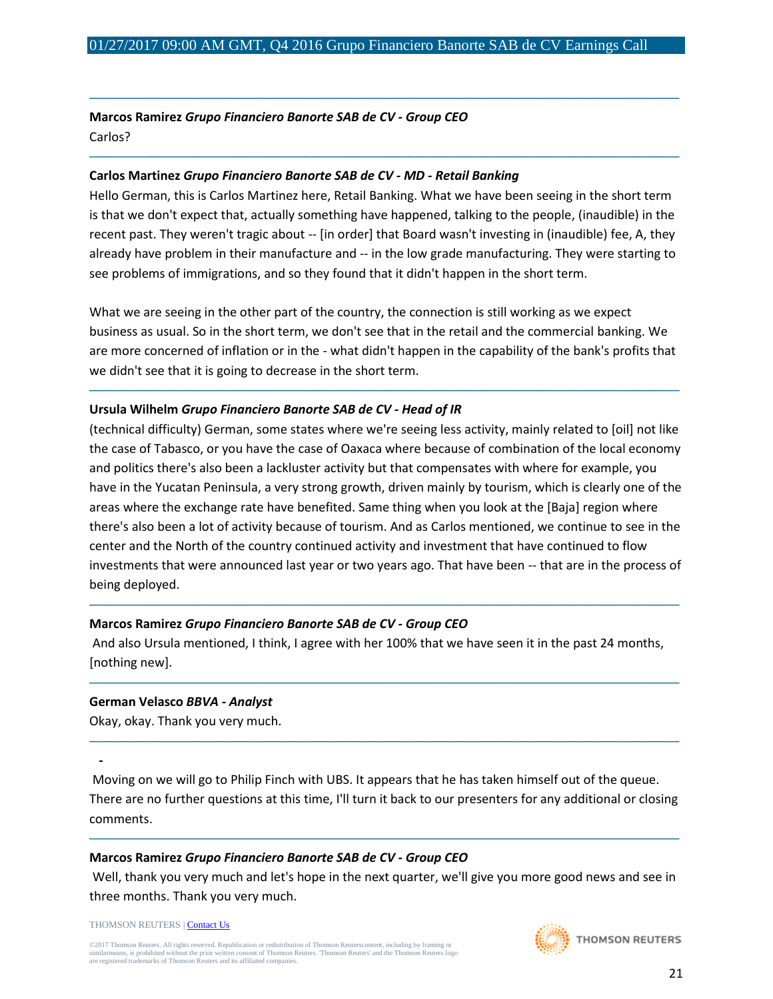─────────────────────────────────────────────────────────────────────────────────────

─────────────────────────────────────────────────────────────────────────────────────

**Marcos Ramirez** *Grupo Financiero Banorte SAB de CV - Group CEO* Carlos?

#### **Carlos Martinez** *Grupo Financiero Banorte SAB de CV - MD - Retail Banking*

Hello German, this is Carlos Martinez here, Retail Banking. What we have been seeing in the short term is that we don't expect that, actually something have happened, talking to the people, (inaudible) in the recent past. They weren't tragic about -- [in order] that Board wasn't investing in (inaudible) fee, A, they already have problem in their manufacture and -- in the low grade manufacturing. They were starting to see problems of immigrations, and so they found that it didn't happen in the short term.

What we are seeing in the other part of the country, the connection is still working as we expect business as usual. So in the short term, we don't see that in the retail and the commercial banking. We are more concerned of inflation or in the - what didn't happen in the capability of the bank's profits that we didn't see that it is going to decrease in the short term.

─────────────────────────────────────────────────────────────────────────────────────

## **Ursula Wilhelm** *Grupo Financiero Banorte SAB de CV - Head of IR*

(technical difficulty) German, some states where we're seeing less activity, mainly related to [oil] not like the case of Tabasco, or you have the case of Oaxaca where because of combination of the local economy and politics there's also been a lackluster activity but that compensates with where for example, you have in the Yucatan Peninsula, a very strong growth, driven mainly by tourism, which is clearly one of the areas where the exchange rate have benefited. Same thing when you look at the [Baja] region where there's also been a lot of activity because of tourism. And as Carlos mentioned, we continue to see in the center and the North of the country continued activity and investment that have continued to flow investments that were announced last year or two years ago. That have been -- that are in the process of being deployed.

## **Marcos Ramirez** *Grupo Financiero Banorte SAB de CV - Group CEO*

And also Ursula mentioned, I think, I agree with her 100% that we have seen it in the past 24 months, [nothing new].

─────────────────────────────────────────────────────────────────────────────────────

─────────────────────────────────────────────────────────────────────────────────────

─────────────────────────────────────────────────────────────────────────────────────

#### **German Velasco** *BBVA - Analyst*

Okay, okay. Thank you very much.

Moving on we will go to Philip Finch with UBS. It appears that he has taken himself out of the queue. There are no further questions at this time, I'll turn it back to our presenters for any additional or closing comments.

─────────────────────────────────────────────────────────────────────────────────────

## **Marcos Ramirez** *Grupo Financiero Banorte SAB de CV - Group CEO*

Well, thank you very much and let's hope in the next quarter, we'll give you more good news and see in three months. Thank you very much.

THOMSON REUTERS [| Contact Us](http://financial.thomsonreuters.com/en/contact-us.html)

*-*